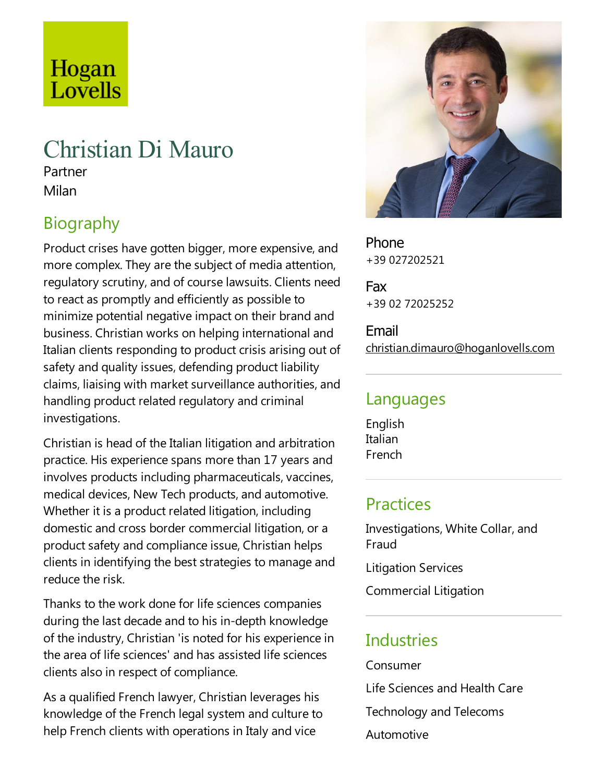# Hogan Lovells

# Christian Di Mauro

Partner Milan

# Biography

Product crises have gotten bigger, more expensive, and more complex. They are the subject of media attention, regulatory scrutiny, and of course lawsuits. Clients need to react as promptly and efficiently as possible to minimize potential negative impact on their brand and business. Christian works on helping international and Italian clients responding to product crisis arising out of safety and quality issues, defending product liability claims, liaising with market surveillance authorities, and handling product related regulatory and criminal investigations.

Christian is head of the Italian litigation and arbitration practice. His experience spans more than 17 years and involves products including pharmaceuticals, vaccines, medical devices, New Tech products, and automotive. Whether it is a product related litigation, including domesticand cross border commercial litigation, or a product safety and compliance issue, Christian helps clients in identifying the best strategies to manage and reduce the risk.

Thanks to the work done for life sciences companies during the last decade and to his in-depth knowledge of the industry, Christian 'is noted for his experience in the area of life sciences' and has assisted life sciences clients also in respect of compliance.

As a qualified French lawyer, Christian leverages his knowledge of the French legal system and culture to help French clients with operations in Italy and vice



Phone +39 027202521

Fax +39 02 72025252

Email christian.dimauro@hoganlovells.com

#### Languages

English Italian French

#### **Practices**

Investigations, White Collar, and Fraud

Litigation Services

Commercial Litigation

#### **Industries**

Consumer Life Sciences and Health Care Technology and Telecoms Automotive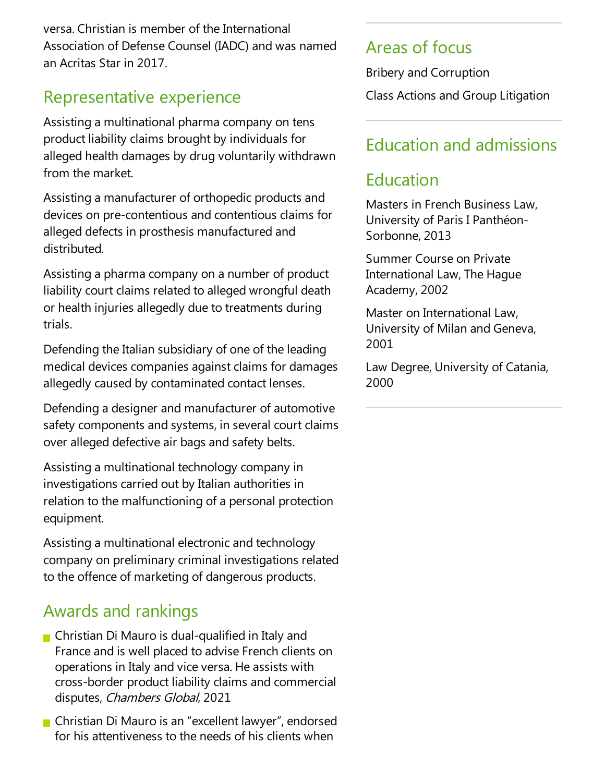versa. Christian is member of the International Association of Defense Counsel (IADC) and was named an Acritas Star in 2017.

#### Representative experience

Assisting a multinational pharma company on tens product liability claims brought by individuals for alleged health damages by drug voluntarily withdrawn from the market.

Assisting a manufacturer of orthopedic products and devices on pre-contentious and contentious claims for alleged defects in prosthesis manufactured and distributed.

Assisting a pharmacompany on a number of product liability court claims related to alleged wrongful death or health injuries allegedly due to treatments during trials.

Defending the Italian subsidiary of one of the leading medical devices companies against claims for damages allegedly caused by contaminated contact lenses.

Defending a designer and manufacturer of automotive safety components and systems, in several court claims over alleged defective air bags and safety belts.

Assisting a multinational technology company in investigations carried out by Italian authorities in relation to the malfunctioning of a personal protection equipment.

Assisting a multinational electronic and technology company on preliminary criminal investigations related to the offence of marketing of dangerous products.

### Awards and rankings

- **Christian Di Mauro is dual-qualified in Italy and** France and is well placed to advise French clients on operations in Italy and vice versa. He assists with cross-border product liability claims and commercial disputes, Chambers Global, 2021
- Christian Di Mauro is an "excellent lawyer", endorsed for his attentiveness to the needs of his clients when

#### Areas of focus

Bribery and Corruption Class Actions and Group Litigation

## Education and admissions

### Education

Masters in French Business Law, University of Paris I Panthéon-Sorbonne, 2013

Summer Course on Private International Law,The Hague Academy, 2002

Master on International Law, University of Milan and Geneva, 2001

Law Degree, University of Catania, 2000